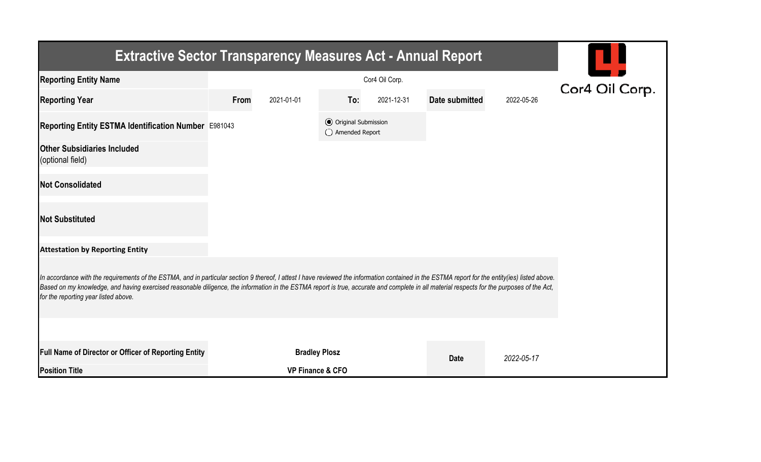| <b>Extractive Sector Transparency Measures Act - Annual Report</b>                                                                                                                                                                                                                                                                                                                                                                    |      |                             |                                                  |            |                |            |  |  |  |  |
|---------------------------------------------------------------------------------------------------------------------------------------------------------------------------------------------------------------------------------------------------------------------------------------------------------------------------------------------------------------------------------------------------------------------------------------|------|-----------------------------|--------------------------------------------------|------------|----------------|------------|--|--|--|--|
| <b>Reporting Entity Name</b>                                                                                                                                                                                                                                                                                                                                                                                                          |      | Cor4 Oil Corp.              |                                                  |            |                |            |  |  |  |  |
| <b>Reporting Year</b>                                                                                                                                                                                                                                                                                                                                                                                                                 | From | 2021-01-01                  | To:                                              | 2021-12-31 | Date submitted | 2022-05-26 |  |  |  |  |
| Reporting Entity ESTMA Identification Number E981043                                                                                                                                                                                                                                                                                                                                                                                  |      |                             | <b>⊙</b> Original Submission<br>◯ Amended Report |            |                |            |  |  |  |  |
| <b>Other Subsidiaries Included</b><br>(optional field)                                                                                                                                                                                                                                                                                                                                                                                |      |                             |                                                  |            |                |            |  |  |  |  |
| <b>Not Consolidated</b>                                                                                                                                                                                                                                                                                                                                                                                                               |      |                             |                                                  |            |                |            |  |  |  |  |
| <b>Not Substituted</b>                                                                                                                                                                                                                                                                                                                                                                                                                |      |                             |                                                  |            |                |            |  |  |  |  |
| <b>Attestation by Reporting Entity</b>                                                                                                                                                                                                                                                                                                                                                                                                |      |                             |                                                  |            |                |            |  |  |  |  |
| In accordance with the requirements of the ESTMA, and in particular section 9 thereof, I attest I have reviewed the information contained in the ESTMA report for the entity(ies) listed above.<br>Based on my knowledge, and having exercised reasonable diligence, the information in the ESTMA report is true, accurate and complete in all material respects for the purposes of the Act,<br>for the reporting year listed above. |      |                             |                                                  |            |                |            |  |  |  |  |
|                                                                                                                                                                                                                                                                                                                                                                                                                                       |      |                             |                                                  |            |                |            |  |  |  |  |
| Full Name of Director or Officer of Reporting Entity                                                                                                                                                                                                                                                                                                                                                                                  |      | <b>Bradley Plosz</b>        |                                                  |            | <b>Date</b>    | 2022-05-17 |  |  |  |  |
| <b>Position Title</b>                                                                                                                                                                                                                                                                                                                                                                                                                 |      | <b>VP Finance &amp; CFO</b> |                                                  |            |                |            |  |  |  |  |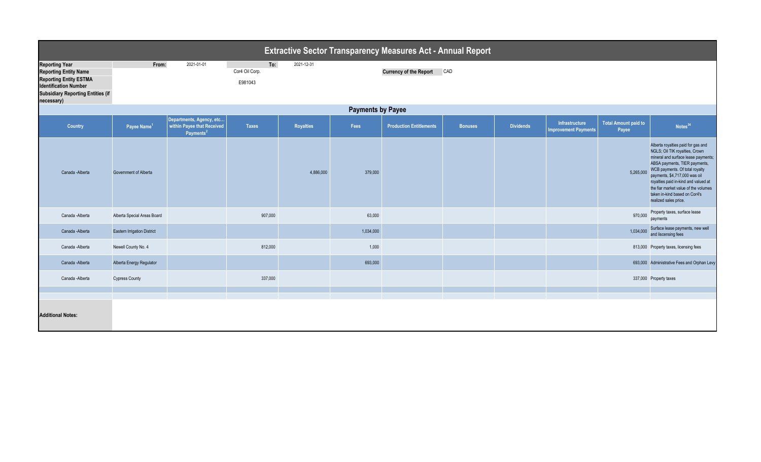|                                                                                                                                                                                  | <b>Extractive Sector Transparency Measures Act - Annual Report</b> |                                                                                 |                                  |                  |           |                                |                |                  |                                               |                                      |                                                                                                                                                                                                                                                                                                                                                           |  |
|----------------------------------------------------------------------------------------------------------------------------------------------------------------------------------|--------------------------------------------------------------------|---------------------------------------------------------------------------------|----------------------------------|------------------|-----------|--------------------------------|----------------|------------------|-----------------------------------------------|--------------------------------------|-----------------------------------------------------------------------------------------------------------------------------------------------------------------------------------------------------------------------------------------------------------------------------------------------------------------------------------------------------------|--|
| <b>Reporting Year</b><br><b>Reporting Entity Name</b><br><b>Reporting Entity ESTMA</b><br><b>Identification Number</b><br><b>Subsidiary Reporting Entities (if</b><br>necessary) | From:                                                              | 2021-01-01                                                                      | To:<br>Cor4 Oil Corp.<br>E981043 | 2021-12-31       |           | <b>Currency of the Report</b>  | CAD            |                  |                                               |                                      |                                                                                                                                                                                                                                                                                                                                                           |  |
|                                                                                                                                                                                  | <b>Payments by Payee</b>                                           |                                                                                 |                                  |                  |           |                                |                |                  |                                               |                                      |                                                                                                                                                                                                                                                                                                                                                           |  |
| Country                                                                                                                                                                          | Payee Name <sup>1</sup>                                            | Departments, Agency, etc<br>within Payee that Received<br>Payments <sup>2</sup> | <b>Taxes</b>                     | <b>Royalties</b> | Fees      | <b>Production Entitlements</b> | <b>Bonuses</b> | <b>Dividends</b> | Infrastructure<br><b>Improvement Payments</b> | <b>Total Amount paid to</b><br>Payee | Notes <sup>34</sup>                                                                                                                                                                                                                                                                                                                                       |  |
| Canada - Alberta                                                                                                                                                                 | Government of Alberta                                              |                                                                                 |                                  | 4,886,000        | 379,000   |                                |                |                  |                                               | 5,265,000                            | Alberta royalties paid for gas and<br>NGLS; Oil TIK royalties, Crown<br>mineral and surface lease payments;<br>ABSA payments, TIER payments,<br>WCB payments. Of total royalty<br>payments, \$4,717,000 was oil<br>royalties paid in-kind and valued at<br>the fiar market value of the volumes<br>taken in-kind based on Cor4's<br>realized sales price. |  |
| Canada - Alberta                                                                                                                                                                 | Alberta Special Areas Board                                        |                                                                                 | 907,000                          |                  | 63,000    |                                |                |                  |                                               | 970,000                              | Property taxes, surface lease<br>payments                                                                                                                                                                                                                                                                                                                 |  |
| Canada - Alberta                                                                                                                                                                 | <b>Eastern Irrigation District</b>                                 |                                                                                 |                                  |                  | 1,034,000 |                                |                |                  |                                               | 1,034,000                            | Surface lease payments, new well<br>and liscensing fees                                                                                                                                                                                                                                                                                                   |  |
| Canada - Alberta                                                                                                                                                                 | Newell County No. 4                                                |                                                                                 | 812,000                          |                  | 1,000     |                                |                |                  |                                               |                                      | 813,000 Property taxes, licensing fees                                                                                                                                                                                                                                                                                                                    |  |
| Canada - Alberta                                                                                                                                                                 | Alberta Energy Regulator                                           |                                                                                 |                                  |                  | 693,000   |                                |                |                  |                                               |                                      | 693,000 Administrative Fees and Orphan Levy                                                                                                                                                                                                                                                                                                               |  |
| Canada - Alberta                                                                                                                                                                 | <b>Cypress County</b>                                              |                                                                                 | 337,000                          |                  |           |                                |                |                  |                                               |                                      | 337,000 Property taxes                                                                                                                                                                                                                                                                                                                                    |  |
|                                                                                                                                                                                  |                                                                    |                                                                                 |                                  |                  |           |                                |                |                  |                                               |                                      |                                                                                                                                                                                                                                                                                                                                                           |  |
|                                                                                                                                                                                  |                                                                    |                                                                                 |                                  |                  |           |                                |                |                  |                                               |                                      |                                                                                                                                                                                                                                                                                                                                                           |  |
| <b>Additional Notes:</b>                                                                                                                                                         |                                                                    |                                                                                 |                                  |                  |           |                                |                |                  |                                               |                                      |                                                                                                                                                                                                                                                                                                                                                           |  |